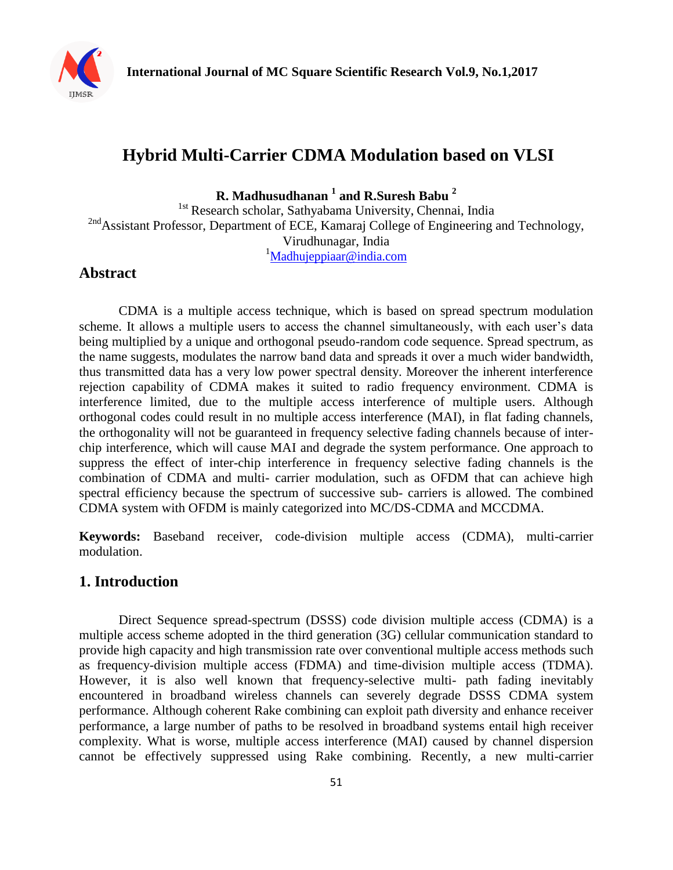

# **Hybrid Multi-Carrier CDMA Modulation based on VLSI**

**R. Madhusudhanan <sup>1</sup> and R.Suresh Babu <sup>2</sup>**

<sup>1st</sup> Research scholar, Sathyabama University, Chennai, India 2nd Assistant Professor, Department of ECE, Kamaraj College of Engineering and Technology, Virudhunagar, India  $1$ [Madhujeppiaar@india.com](mailto:Madhujeppiaar@india.com)

# **Abstract**

CDMA is a multiple access technique, which is based on spread spectrum modulation scheme. It allows a multiple users to access the channel simultaneously, with each user's data being multiplied by a unique and orthogonal pseudo-random code sequence. Spread spectrum, as the name suggests, modulates the narrow band data and spreads it over a much wider bandwidth, thus transmitted data has a very low power spectral density. Moreover the inherent interference rejection capability of CDMA makes it suited to radio frequency environment. CDMA is interference limited, due to the multiple access interference of multiple users. Although orthogonal codes could result in no multiple access interference (MAI), in flat fading channels, the orthogonality will not be guaranteed in frequency selective fading channels because of interchip interference, which will cause MAI and degrade the system performance. One approach to suppress the effect of inter-chip interference in frequency selective fading channels is the combination of CDMA and multi- carrier modulation, such as OFDM that can achieve high spectral efficiency because the spectrum of successive sub- carriers is allowed. The combined CDMA system with OFDM is mainly categorized into MC/DS-CDMA and MCCDMA.

**Keywords:** Baseband receiver, code-division multiple access (CDMA), multi-carrier modulation.

# **1. Introduction**

Direct Sequence spread-spectrum (DSSS) code division multiple access (CDMA) is a multiple access scheme adopted in the third generation (3G) cellular communication standard to provide high capacity and high transmission rate over conventional multiple access methods such as frequency-division multiple access (FDMA) and time-division multiple access (TDMA). However, it is also well known that frequency-selective multi- path fading inevitably encountered in broadband wireless channels can severely degrade DSSS CDMA system performance. Although coherent Rake combining can exploit path diversity and enhance receiver performance, a large number of paths to be resolved in broadband systems entail high receiver complexity. What is worse, multiple access interference (MAI) caused by channel dispersion cannot be effectively suppressed using Rake combining. Recently, a new multi-carrier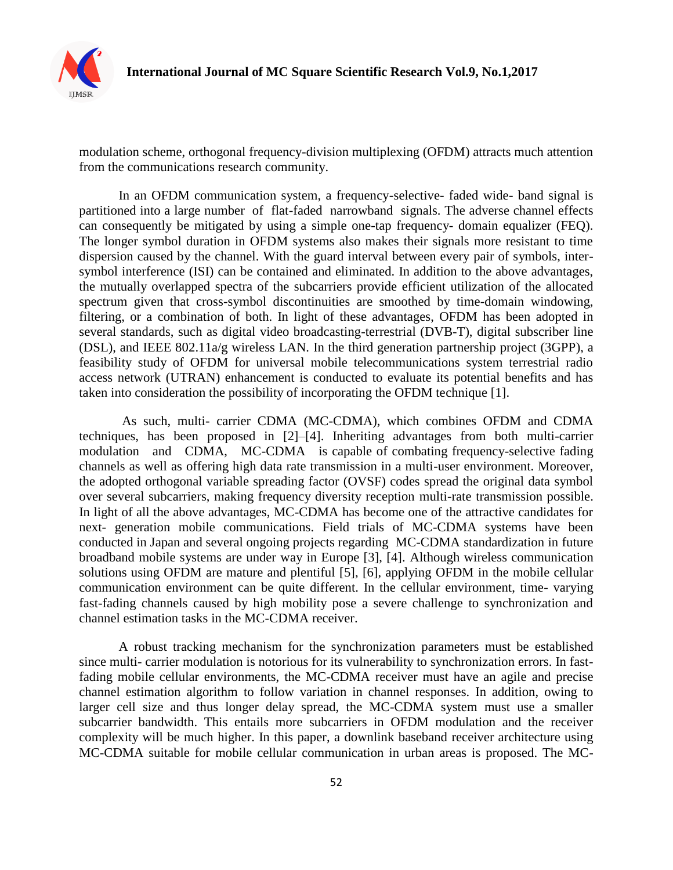

modulation scheme, orthogonal frequency-division multiplexing (OFDM) attracts much attention from the communications research community.

In an OFDM communication system, a frequency-selective- faded wide- band signal is partitioned into a large number of flat-faded narrowband signals. The adverse channel effects can consequently be mitigated by using a simple one-tap frequency- domain equalizer (FEQ). The longer symbol duration in OFDM systems also makes their signals more resistant to time dispersion caused by the channel. With the guard interval between every pair of symbols, intersymbol interference (ISI) can be contained and eliminated. In addition to the above advantages, the mutually overlapped spectra of the subcarriers provide efficient utilization of the allocated spectrum given that cross-symbol discontinuities are smoothed by time-domain windowing, filtering, or a combination of both. In light of these advantages, OFDM has been adopted in several standards, such as digital video broadcasting-terrestrial (DVB-T), digital subscriber line (DSL), and IEEE 802.11a/g wireless LAN. In the third generation partnership project (3GPP), a feasibility study of OFDM for universal mobile telecommunications system terrestrial radio access network (UTRAN) enhancement is conducted to evaluate its potential benefits and has taken into consideration the possibility of incorporating the OFDM technique [1].

As such, multi- carrier CDMA (MC-CDMA), which combines OFDM and CDMA techniques, has been proposed in [2]–[4]. Inheriting advantages from both multi-carrier modulation and CDMA, MC-CDMA is capable of combating frequency-selective fading channels as well as offering high data rate transmission in a multi-user environment. Moreover, the adopted orthogonal variable spreading factor (OVSF) codes spread the original data symbol over several subcarriers, making frequency diversity reception multi-rate transmission possible. In light of all the above advantages, MC-CDMA has become one of the attractive candidates for next- generation mobile communications. Field trials of MC-CDMA systems have been conducted in Japan and several ongoing projects regarding MC-CDMA standardization in future broadband mobile systems are under way in Europe [3], [4]. Although wireless communication solutions using OFDM are mature and plentiful [5], [6], applying OFDM in the mobile cellular communication environment can be quite different. In the cellular environment, time- varying fast-fading channels caused by high mobility pose a severe challenge to synchronization and channel estimation tasks in the MC-CDMA receiver.

A robust tracking mechanism for the synchronization parameters must be established since multi- carrier modulation is notorious for its vulnerability to synchronization errors. In fastfading mobile cellular environments, the MC-CDMA receiver must have an agile and precise channel estimation algorithm to follow variation in channel responses. In addition, owing to larger cell size and thus longer delay spread, the MC-CDMA system must use a smaller subcarrier bandwidth. This entails more subcarriers in OFDM modulation and the receiver complexity will be much higher. In this paper, a downlink baseband receiver architecture using MC-CDMA suitable for mobile cellular communication in urban areas is proposed. The MC-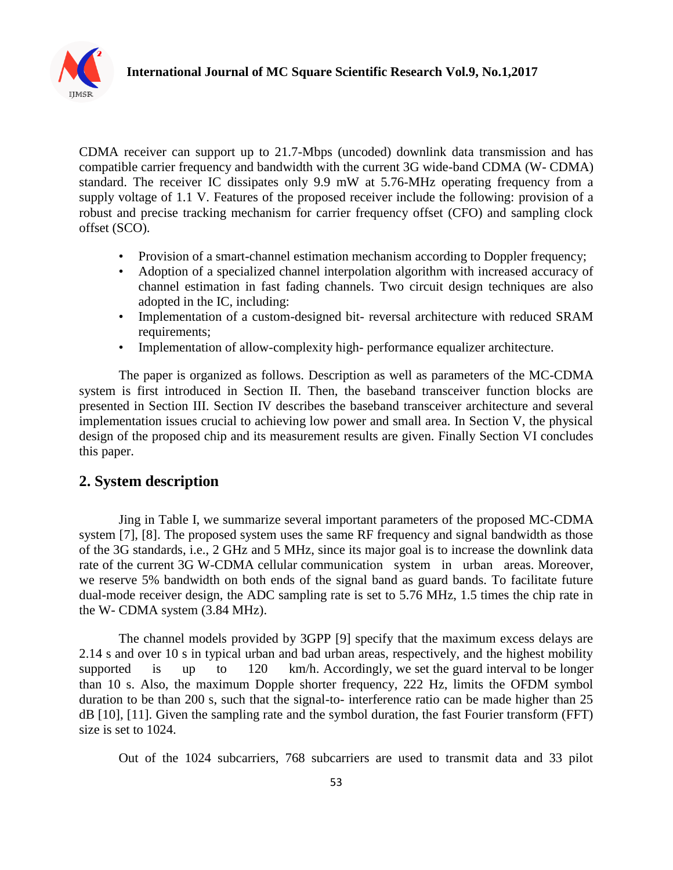

CDMA receiver can support up to 21.7-Mbps (uncoded) downlink data transmission and has compatible carrier frequency and bandwidth with the current 3G wide-band CDMA (W- CDMA) standard. The receiver IC dissipates only 9.9 mW at 5.76-MHz operating frequency from a supply voltage of 1.1 V. Features of the proposed receiver include the following: provision of a robust and precise tracking mechanism for carrier frequency offset (CFO) and sampling clock offset (SCO).

- Provision of a smart-channel estimation mechanism according to Doppler frequency;
- Adoption of a specialized channel interpolation algorithm with increased accuracy of channel estimation in fast fading channels. Two circuit design techniques are also adopted in the IC, including:
- Implementation of a custom-designed bit- reversal architecture with reduced SRAM requirements;
- Implementation of allow-complexity high- performance equalizer architecture.

The paper is organized as follows. Description as well as parameters of the MC-CDMA system is first introduced in Section II. Then, the baseband transceiver function blocks are presented in Section III. Section IV describes the baseband transceiver architecture and several implementation issues crucial to achieving low power and small area. In Section V, the physical design of the proposed chip and its measurement results are given. Finally Section VI concludes this paper.

## **2. System description**

Jing in Table I, we summarize several important parameters of the proposed MC-CDMA system [7], [8]. The proposed system uses the same RF frequency and signal bandwidth as those of the 3G standards, i.e., 2 GHz and 5 MHz, since its major goal is to increase the downlink data rate of the current 3G W-CDMA cellular communication system in urban areas. Moreover, we reserve 5% bandwidth on both ends of the signal band as guard bands. To facilitate future dual-mode receiver design, the ADC sampling rate is set to 5.76 MHz, 1.5 times the chip rate in the W- CDMA system (3.84 MHz).

The channel models provided by 3GPP [9] specify that the maximum excess delays are 2.14 s and over 10 s in typical urban and bad urban areas, respectively, and the highest mobility supported is up to 120 km/h. Accordingly, we set the guard interval to be longer than 10 s. Also, the maximum Dopple shorter frequency, 222 Hz, limits the OFDM symbol duration to be than 200 s, such that the signal-to- interference ratio can be made higher than 25 dB [10], [11]. Given the sampling rate and the symbol duration, the fast Fourier transform (FFT) size is set to 1024.

Out of the 1024 subcarriers, 768 subcarriers are used to transmit data and 33 pilot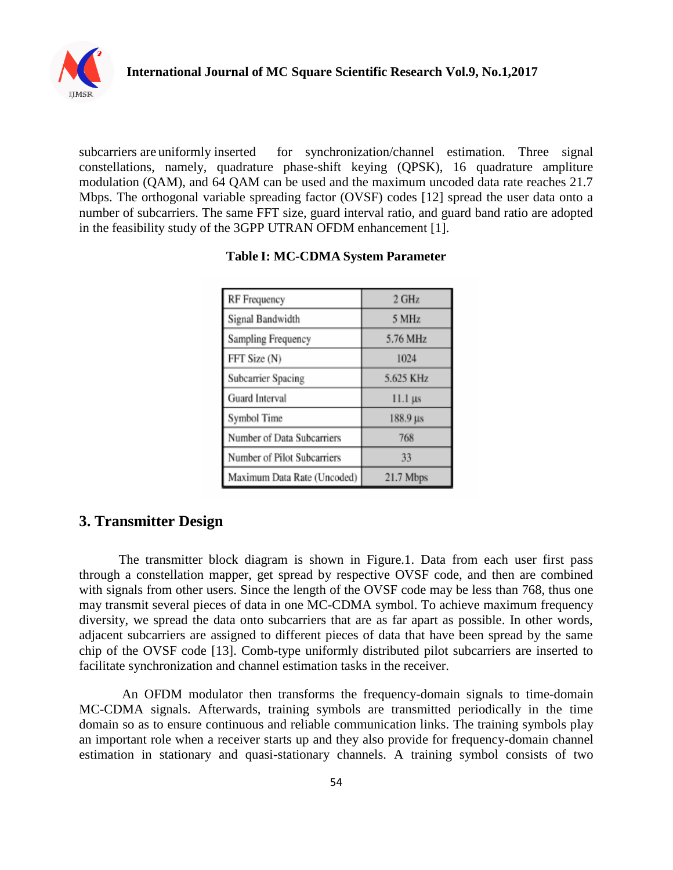

subcarriers are uniformly inserted for synchronization/channel estimation. Three signal constellations, namely, quadrature phase-shift keying (QPSK), 16 quadrature ampliture modulation (QAM), and 64 QAM can be used and the maximum uncoded data rate reaches 21.7 Mbps. The orthogonal variable spreading factor (OVSF) codes [12] spread the user data onto a number of subcarriers. The same FFT size, guard interval ratio, and guard band ratio are adopted in the feasibility study of the 3GPP UTRAN OFDM enhancement [1].

| RF Frequency                | 2 GHz          |
|-----------------------------|----------------|
| Signal Bandwidth            | 5 MHz          |
| Sampling Frequency          | 5.76 MHz       |
| FFT Size (N)                | 1024           |
| Subcarrier Spacing          | 5.625 KHz      |
| Guard Interval              | $11.1 \,\mu s$ |
| Symbol Time                 | 188.9 µs       |
| Number of Data Subcarriers  | 768            |
| Number of Pilot Subcarriers | 33             |
| Maximum Data Rate (Uncoded) | $21.7$ Mbps    |

#### **Table I: MC-CDMA System Parameter**

# **3. Transmitter Design**

The transmitter block diagram is shown in Figure.1. Data from each user first pass through a constellation mapper, get spread by respective OVSF code, and then are combined with signals from other users. Since the length of the OVSF code may be less than 768, thus one may transmit several pieces of data in one MC-CDMA symbol. To achieve maximum frequency diversity, we spread the data onto subcarriers that are as far apart as possible. In other words, adjacent subcarriers are assigned to different pieces of data that have been spread by the same chip of the OVSF code [13]. Comb-type uniformly distributed pilot subcarriers are inserted to facilitate synchronization and channel estimation tasks in the receiver.

An OFDM modulator then transforms the frequency-domain signals to time-domain MC-CDMA signals. Afterwards, training symbols are transmitted periodically in the time domain so as to ensure continuous and reliable communication links. The training symbols play an important role when a receiver starts up and they also provide for frequency-domain channel estimation in stationary and quasi-stationary channels. A training symbol consists of two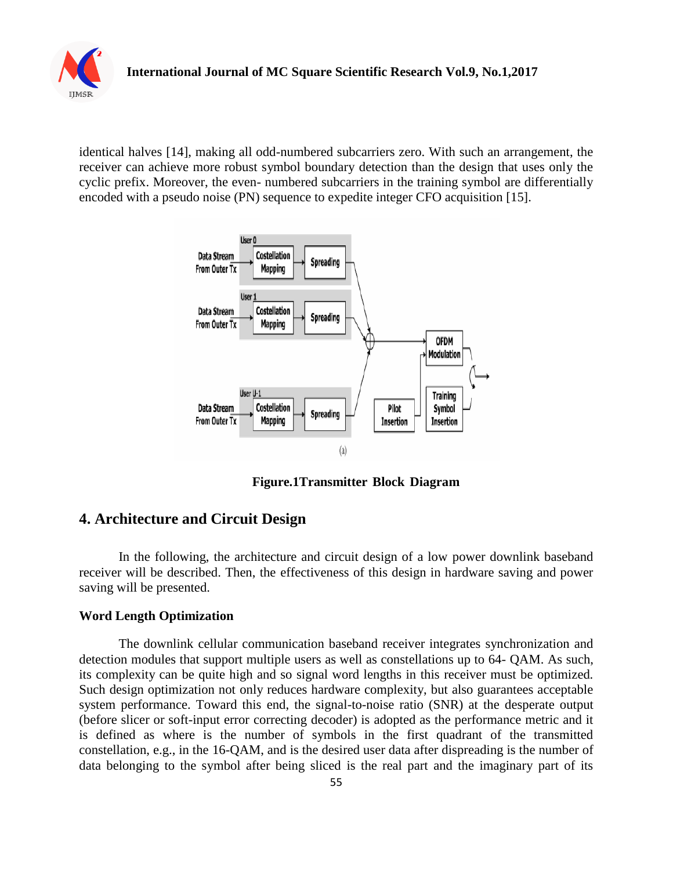

identical halves [14], making all odd-numbered subcarriers zero. With such an arrangement, the receiver can achieve more robust symbol boundary detection than the design that uses only the cyclic prefix. Moreover, the even- numbered subcarriers in the training symbol are differentially encoded with a pseudo noise (PN) sequence to expedite integer CFO acquisition [15].



**Figure.1Transmitter Block Diagram**

### **4. Architecture and Circuit Design**

In the following, the architecture and circuit design of a low power downlink baseband receiver will be described. Then, the effectiveness of this design in hardware saving and power saving will be presented.

#### **Word Length Optimization**

The downlink cellular communication baseband receiver integrates synchronization and detection modules that support multiple users as well as constellations up to 64- QAM. As such, its complexity can be quite high and so signal word lengths in this receiver must be optimized. Such design optimization not only reduces hardware complexity, but also guarantees acceptable system performance. Toward this end, the signal-to-noise ratio (SNR) at the desperate output (before slicer or soft-input error correcting decoder) is adopted as the performance metric and it is defined as where is the number of symbols in the first quadrant of the transmitted constellation, e.g., in the 16-QAM, and is the desired user data after dispreading is the number of data belonging to the symbol after being sliced is the real part and the imaginary part of its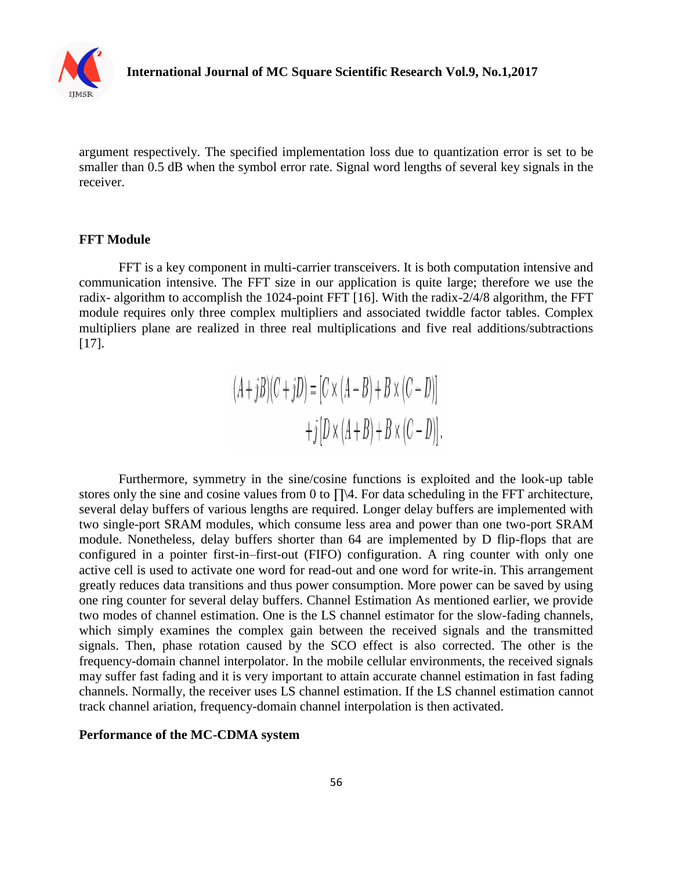

argument respectively. The specified implementation loss due to quantization error is set to be smaller than 0.5 dB when the symbol error rate. Signal word lengths of several key signals in the receiver.

#### **FFT Module**

FFT is a key component in multi-carrier transceivers. It is both computation intensive and communication intensive. The FFT size in our application is quite large; therefore we use the radix- algorithm to accomplish the 1024-point FFT [16]. With the radix-2/4/8 algorithm, the FFT module requires only three complex multipliers and associated twiddle factor tables. Complex multipliers plane are realized in three real multiplications and five real additions/subtractions [17].

> $(A+jB)(C+jD) = [C \times (A-B) + B \times (C-D)]$  $+j[D \times (A+B) + B \times (C-D)].$

Furthermore, symmetry in the sine/cosine functions is exploited and the look-up table stores only the sine and cosine values from 0 to ∏\4. For data scheduling in the FFT architecture, several delay buffers of various lengths are required. Longer delay buffers are implemented with two single-port SRAM modules, which consume less area and power than one two-port SRAM module. Nonetheless, delay buffers shorter than 64 are implemented by D flip-flops that are configured in a pointer first-in–first-out (FIFO) configuration. A ring counter with only one active cell is used to activate one word for read-out and one word for write-in. This arrangement greatly reduces data transitions and thus power consumption. More power can be saved by using one ring counter for several delay buffers. Channel Estimation As mentioned earlier, we provide two modes of channel estimation. One is the LS channel estimator for the slow-fading channels, which simply examines the complex gain between the received signals and the transmitted signals. Then, phase rotation caused by the SCO effect is also corrected. The other is the frequency-domain channel interpolator. In the mobile cellular environments, the received signals may suffer fast fading and it is very important to attain accurate channel estimation in fast fading channels. Normally, the receiver uses LS channel estimation. If the LS channel estimation cannot track channel ariation, frequency-domain channel interpolation is then activated.

#### **Performance of the MC-CDMA system**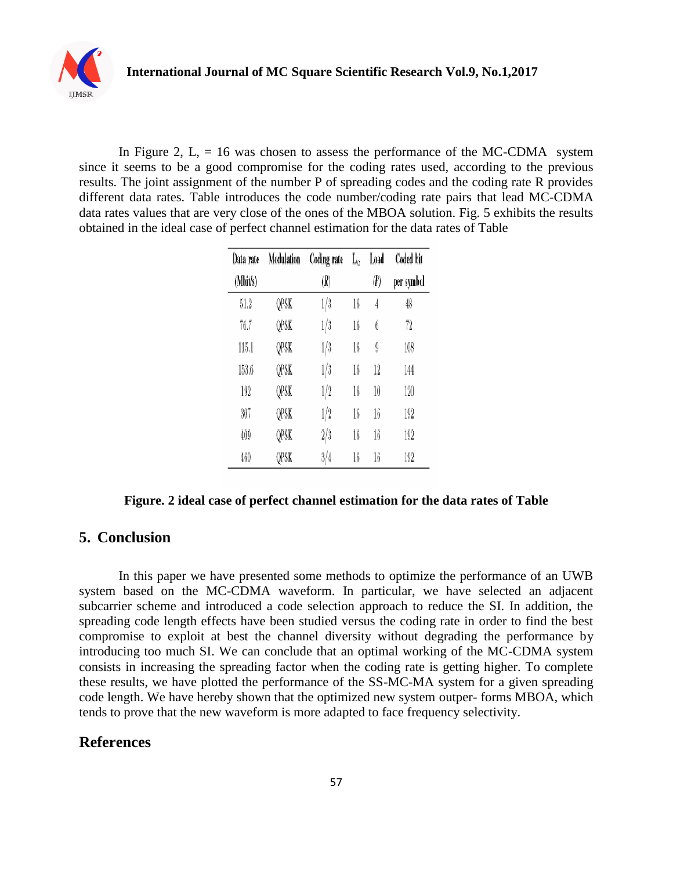

In Figure 2,  $L = 16$  was chosen to assess the performance of the MC-CDMA system since it seems to be a good compromise for the coding rates used, according to the previous results. The joint assignment of the number P of spreading codes and the coding rate R provides different data rates. Table introduces the code number/coding rate pairs that lead MC-CDMA data rates values that are very close of the ones of the MBOA solution. Fig. 5 exhibits the results obtained in the ideal case of perfect channel estimation for the data rates of Table

| Data rate | Modulation | Coding rate | $\rm L_c$ | Load | Coded bit  |
|-----------|------------|-------------|-----------|------|------------|
| (Mbit/s)  |            | (R)         |           | (P)  | per symbol |
| 51.2      | QPSK       | 1/3         | 16        | 4    | 48         |
| 76.7      | QPSK       | 1/3         | 16        | 6    | 72         |
| 115.1     | QPSK       | 1/3         | 16        | 9    | 108        |
| 153.6     | QPSK       | 1/3         | 16        | 12   | 144        |
| 192       | QPSK       | 1/2         | 16        | 10   | 120        |
| 307       | QPSK       | 1/2         | 16        | 16   | 192        |
| 409       | QPSK       | 2/3         | 16        | 16   | 192        |
| 460       | QPSK       | 3/4         | 16        | 16   | 192        |

#### **Figure. 2 ideal case of perfect channel estimation for the data rates of Table**

### **5. Conclusion**

In this paper we have presented some methods to optimize the performance of an UWB system based on the MC-CDMA waveform. In particular, we have selected an adjacent subcarrier scheme and introduced a code selection approach to reduce the SI. In addition, the spreading code length effects have been studied versus the coding rate in order to find the best compromise to exploit at best the channel diversity without degrading the performance by introducing too much SI. We can conclude that an optimal working of the MC-CDMA system consists in increasing the spreading factor when the coding rate is getting higher. To complete these results, we have plotted the performance of the SS-MC-MA system for a given spreading code length. We have hereby shown that the optimized new system outper- forms MBOA, which tends to prove that the new waveform is more adapted to face frequency selectivity.

# **References**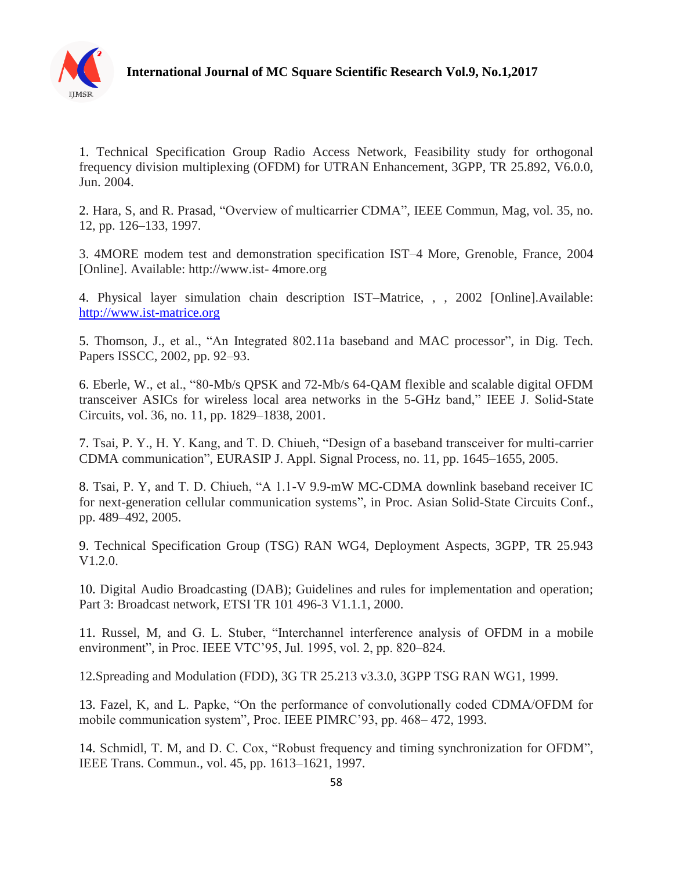

1. Technical Specification Group Radio Access Network, Feasibility study for orthogonal frequency division multiplexing (OFDM) for UTRAN Enhancement, 3GPP, TR 25.892, V6.0.0, Jun. 2004.

2. Hara, S, and R. Prasad, "Overview of multicarrier CDMA", IEEE Commun, Mag, vol. 35, no. 12, pp. 126–133, 1997.

3. 4MORE modem test and demonstration specification IST–4 More, Grenoble, France, 2004 [Online]. Available: http://www.ist- 4more.org

4. Physical layer simulation chain description IST–Matrice, , , 2002 [Online].Available: [http://www.ist-matrice.org](http://www.ist-matrice.org/)

5. Thomson, J., et al., "An Integrated 802.11a baseband and MAC processor", in Dig. Tech. Papers ISSCC, 2002, pp. 92–93.

6. Eberle, W., et al., "80-Mb/s QPSK and 72-Mb/s 64-QAM flexible and scalable digital OFDM transceiver ASICs for wireless local area networks in the 5-GHz band," IEEE J. Solid-State Circuits, vol. 36, no. 11, pp. 1829–1838, 2001.

7. Tsai, P. Y., H. Y. Kang, and T. D. Chiueh, "Design of a baseband transceiver for multi-carrier CDMA communication", EURASIP J. Appl. Signal Process, no. 11, pp. 1645–1655, 2005.

8. Tsai, P. Y, and T. D. Chiueh, "A 1.1-V 9.9-mW MC-CDMA downlink baseband receiver IC for next-generation cellular communication systems", in Proc. Asian Solid-State Circuits Conf., pp. 489–492, 2005.

9. Technical Specification Group (TSG) RAN WG4, Deployment Aspects, 3GPP, TR 25.943 V1.2.0.

10. Digital Audio Broadcasting (DAB); Guidelines and rules for implementation and operation; Part 3: Broadcast network, ETSI TR 101 496-3 V1.1.1, 2000.

11. Russel, M, and G. L. Stuber, "Interchannel interference analysis of OFDM in a mobile environment", in Proc. IEEE VTC'95, Jul. 1995, vol. 2, pp. 820–824.

12.Spreading and Modulation (FDD), 3G TR 25.213 v3.3.0, 3GPP TSG RAN WG1, 1999.

13. Fazel, K, and L. Papke, "On the performance of convolutionally coded CDMA/OFDM for mobile communication system", Proc. IEEE PIMRC'93, pp. 468– 472, 1993.

14. Schmidl, T. M, and D. C. Cox, "Robust frequency and timing synchronization for OFDM", IEEE Trans. Commun., vol. 45, pp. 1613–1621, 1997.